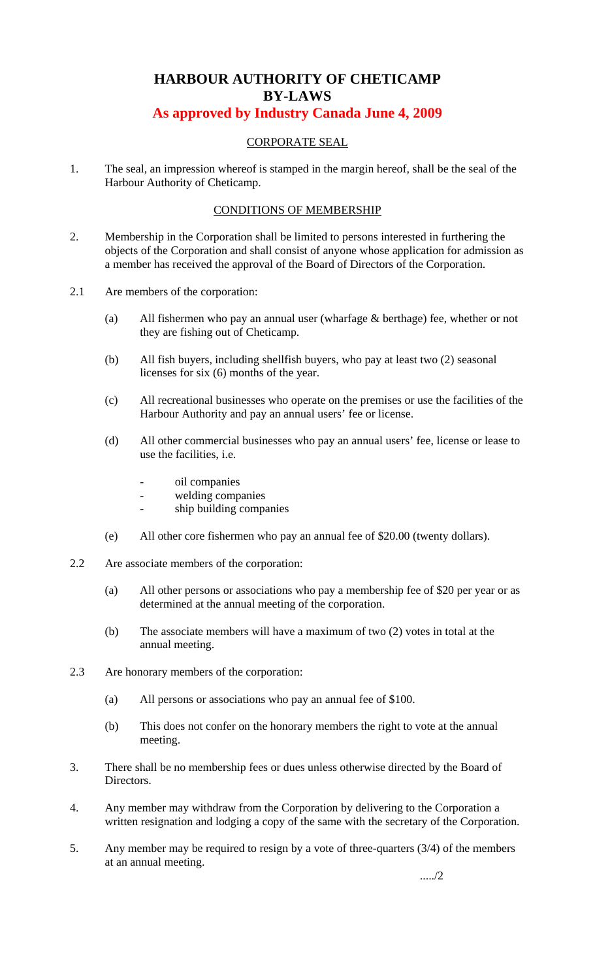# **HARBOUR AUTHORITY OF CHETICAMP BY-LAWS**

## **As approved by Industry Canada June 4, 2009**

## CORPORATE SEAL

1. The seal, an impression whereof is stamped in the margin hereof, shall be the seal of the Harbour Authority of Cheticamp.

## CONDITIONS OF MEMBERSHIP

- 2. Membership in the Corporation shall be limited to persons interested in furthering the objects of the Corporation and shall consist of anyone whose application for admission as a member has received the approval of the Board of Directors of the Corporation.
- 2.1 Are members of the corporation:
	- (a) All fishermen who pay an annual user (wharfage & berthage) fee, whether or not they are fishing out of Cheticamp.
	- (b) All fish buyers, including shellfish buyers, who pay at least two (2) seasonal licenses for six (6) months of the year.
	- (c) All recreational businesses who operate on the premises or use the facilities of the Harbour Authority and pay an annual users' fee or license.
	- (d) All other commercial businesses who pay an annual users' fee, license or lease to use the facilities, i.e.
		- oil companies
		- welding companies
			- ship building companies
	- (e) All other core fishermen who pay an annual fee of \$20.00 (twenty dollars).
- 2.2 Are associate members of the corporation:
	- (a) All other persons or associations who pay a membership fee of \$20 per year or as determined at the annual meeting of the corporation.
	- (b) The associate members will have a maximum of two (2) votes in total at the annual meeting.
- 2.3 Are honorary members of the corporation:
	- (a) All persons or associations who pay an annual fee of \$100.
	- (b) This does not confer on the honorary members the right to vote at the annual meeting.
- 3. There shall be no membership fees or dues unless otherwise directed by the Board of Directors.
- 4. Any member may withdraw from the Corporation by delivering to the Corporation a written resignation and lodging a copy of the same with the secretary of the Corporation.
- 5. Any member may be required to resign by a vote of three-quarters (3/4) of the members at an annual meeting.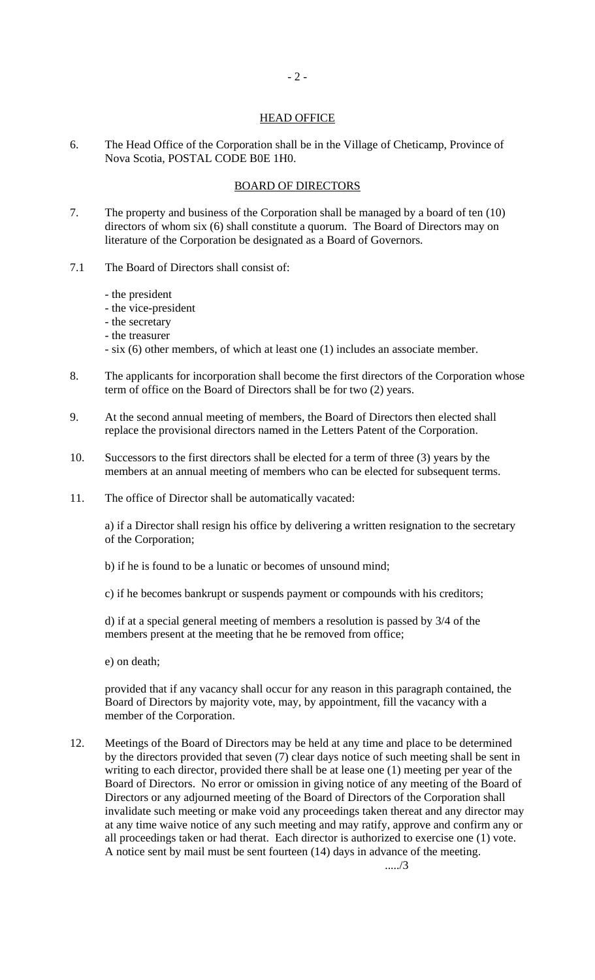#### HEAD OFFICE

- 2 -

6. The Head Office of the Corporation shall be in the Village of Cheticamp, Province of Nova Scotia, POSTAL CODE B0E 1H0.

#### BOARD OF DIRECTORS

- 7. The property and business of the Corporation shall be managed by a board of ten (10) directors of whom six (6) shall constitute a quorum. The Board of Directors may on literature of the Corporation be designated as a Board of Governors.
- 7.1 The Board of Directors shall consist of:
	- the president
	- the vice-president
	- the secretary
	- the treasurer
	- six (6) other members, of which at least one (1) includes an associate member.
- 8. The applicants for incorporation shall become the first directors of the Corporation whose term of office on the Board of Directors shall be for two (2) years.
- 9. At the second annual meeting of members, the Board of Directors then elected shall replace the provisional directors named in the Letters Patent of the Corporation.
- 10. Successors to the first directors shall be elected for a term of three (3) years by the members at an annual meeting of members who can be elected for subsequent terms.
- 11. The office of Director shall be automatically vacated:

a) if a Director shall resign his office by delivering a written resignation to the secretary of the Corporation;

- b) if he is found to be a lunatic or becomes of unsound mind;
- c) if he becomes bankrupt or suspends payment or compounds with his creditors;

d) if at a special general meeting of members a resolution is passed by 3/4 of the members present at the meeting that he be removed from office;

e) on death;

provided that if any vacancy shall occur for any reason in this paragraph contained, the Board of Directors by majority vote, may, by appointment, fill the vacancy with a member of the Corporation.

12. Meetings of the Board of Directors may be held at any time and place to be determined by the directors provided that seven (7) clear days notice of such meeting shall be sent in writing to each director, provided there shall be at lease one (1) meeting per year of the Board of Directors. No error or omission in giving notice of any meeting of the Board of Directors or any adjourned meeting of the Board of Directors of the Corporation shall invalidate such meeting or make void any proceedings taken thereat and any director may at any time waive notice of any such meeting and may ratify, approve and confirm any or all proceedings taken or had therat. Each director is authorized to exercise one (1) vote. A notice sent by mail must be sent fourteen (14) days in advance of the meeting.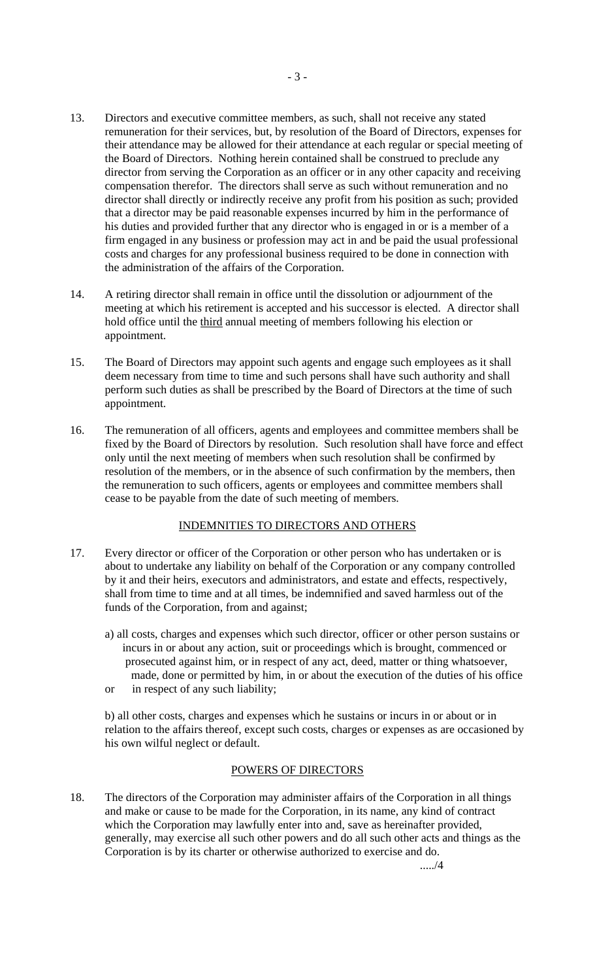- 13. Directors and executive committee members, as such, shall not receive any stated remuneration for their services, but, by resolution of the Board of Directors, expenses for their attendance may be allowed for their attendance at each regular or special meeting of the Board of Directors. Nothing herein contained shall be construed to preclude any director from serving the Corporation as an officer or in any other capacity and receiving compensation therefor. The directors shall serve as such without remuneration and no director shall directly or indirectly receive any profit from his position as such; provided that a director may be paid reasonable expenses incurred by him in the performance of his duties and provided further that any director who is engaged in or is a member of a firm engaged in any business or profession may act in and be paid the usual professional costs and charges for any professional business required to be done in connection with the administration of the affairs of the Corporation.
- 14. A retiring director shall remain in office until the dissolution or adjournment of the meeting at which his retirement is accepted and his successor is elected. A director shall hold office until the third annual meeting of members following his election or appointment.
- 15. The Board of Directors may appoint such agents and engage such employees as it shall deem necessary from time to time and such persons shall have such authority and shall perform such duties as shall be prescribed by the Board of Directors at the time of such appointment.
- 16. The remuneration of all officers, agents and employees and committee members shall be fixed by the Board of Directors by resolution. Such resolution shall have force and effect only until the next meeting of members when such resolution shall be confirmed by resolution of the members, or in the absence of such confirmation by the members, then the remuneration to such officers, agents or employees and committee members shall cease to be payable from the date of such meeting of members.

## INDEMNITIES TO DIRECTORS AND OTHERS

- 17. Every director or officer of the Corporation or other person who has undertaken or is about to undertake any liability on behalf of the Corporation or any company controlled by it and their heirs, executors and administrators, and estate and effects, respectively, shall from time to time and at all times, be indemnified and saved harmless out of the funds of the Corporation, from and against;
	- a) all costs, charges and expenses which such director, officer or other person sustains or incurs in or about any action, suit or proceedings which is brought, commenced or prosecuted against him, or in respect of any act, deed, matter or thing whatsoever, made, done or permitted by him, in or about the execution of the duties of his office
	- or in respect of any such liability;

b) all other costs, charges and expenses which he sustains or incurs in or about or in relation to the affairs thereof, except such costs, charges or expenses as are occasioned by his own wilful neglect or default.

#### POWERS OF DIRECTORS

18. The directors of the Corporation may administer affairs of the Corporation in all things and make or cause to be made for the Corporation, in its name, any kind of contract which the Corporation may lawfully enter into and, save as hereinafter provided, generally, may exercise all such other powers and do all such other acts and things as the Corporation is by its charter or otherwise authorized to exercise and do.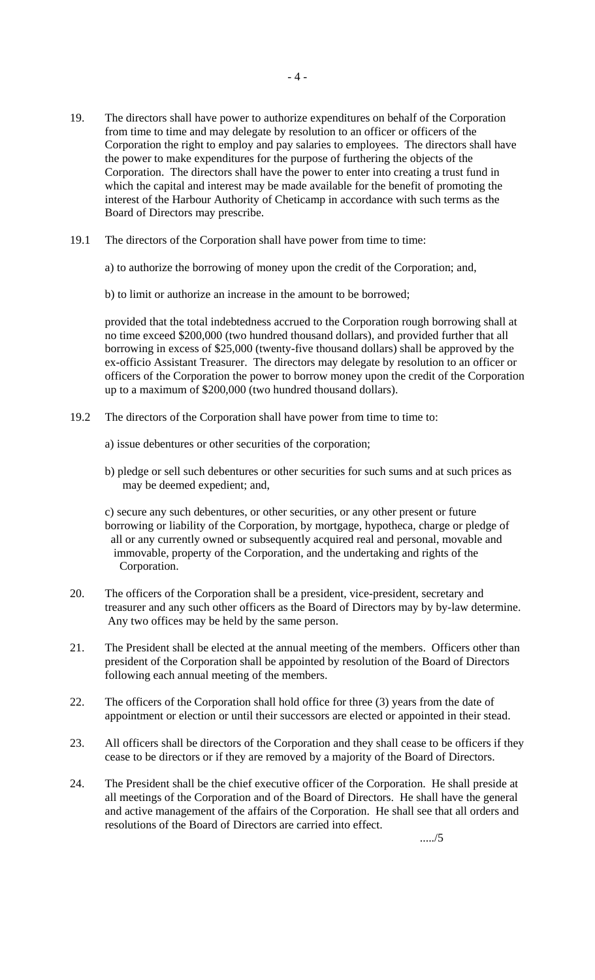- 19. The directors shall have power to authorize expenditures on behalf of the Corporation from time to time and may delegate by resolution to an officer or officers of the Corporation the right to employ and pay salaries to employees. The directors shall have the power to make expenditures for the purpose of furthering the objects of the Corporation. The directors shall have the power to enter into creating a trust fund in which the capital and interest may be made available for the benefit of promoting the interest of the Harbour Authority of Cheticamp in accordance with such terms as the Board of Directors may prescribe.
- 19.1 The directors of the Corporation shall have power from time to time:

a) to authorize the borrowing of money upon the credit of the Corporation; and,

b) to limit or authorize an increase in the amount to be borrowed;

provided that the total indebtedness accrued to the Corporation rough borrowing shall at no time exceed \$200,000 (two hundred thousand dollars), and provided further that all borrowing in excess of \$25,000 (twenty-five thousand dollars) shall be approved by the ex-officio Assistant Treasurer. The directors may delegate by resolution to an officer or officers of the Corporation the power to borrow money upon the credit of the Corporation up to a maximum of \$200,000 (two hundred thousand dollars).

- 19.2 The directors of the Corporation shall have power from time to time to:
	- a) issue debentures or other securities of the corporation;
	- b) pledge or sell such debentures or other securities for such sums and at such prices as may be deemed expedient; and,

c) secure any such debentures, or other securities, or any other present or future borrowing or liability of the Corporation, by mortgage, hypotheca, charge or pledge of all or any currently owned or subsequently acquired real and personal, movable and immovable, property of the Corporation, and the undertaking and rights of the Corporation.

- 20. The officers of the Corporation shall be a president, vice-president, secretary and treasurer and any such other officers as the Board of Directors may by by-law determine. Any two offices may be held by the same person.
- 21. The President shall be elected at the annual meeting of the members. Officers other than president of the Corporation shall be appointed by resolution of the Board of Directors following each annual meeting of the members.
- 22. The officers of the Corporation shall hold office for three (3) years from the date of appointment or election or until their successors are elected or appointed in their stead.
- 23. All officers shall be directors of the Corporation and they shall cease to be officers if they cease to be directors or if they are removed by a majority of the Board of Directors.
- 24. The President shall be the chief executive officer of the Corporation. He shall preside at all meetings of the Corporation and of the Board of Directors. He shall have the general and active management of the affairs of the Corporation. He shall see that all orders and resolutions of the Board of Directors are carried into effect.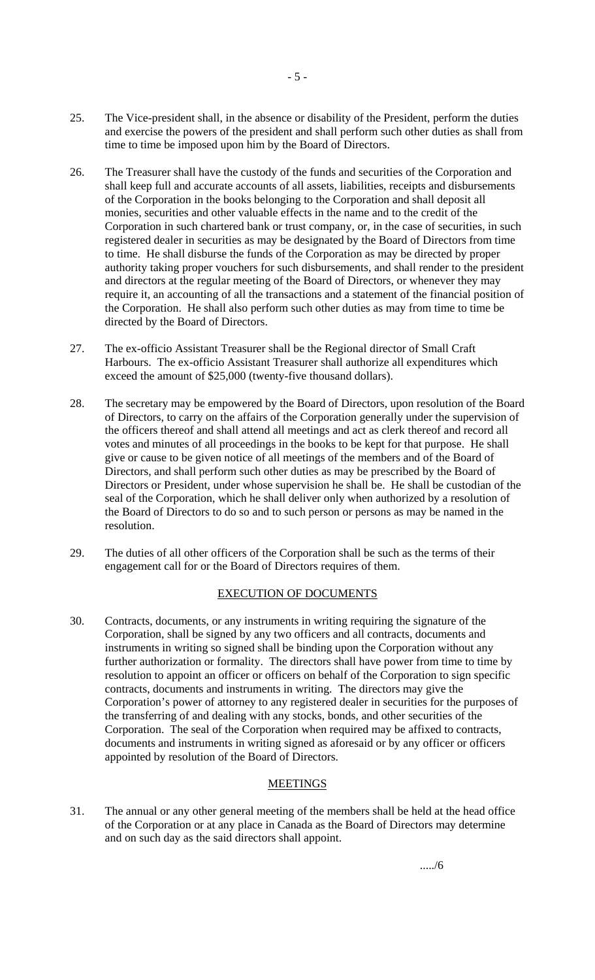- 25. The Vice-president shall, in the absence or disability of the President, perform the duties and exercise the powers of the president and shall perform such other duties as shall from time to time be imposed upon him by the Board of Directors.
- 26. The Treasurer shall have the custody of the funds and securities of the Corporation and shall keep full and accurate accounts of all assets, liabilities, receipts and disbursements of the Corporation in the books belonging to the Corporation and shall deposit all monies, securities and other valuable effects in the name and to the credit of the Corporation in such chartered bank or trust company, or, in the case of securities, in such registered dealer in securities as may be designated by the Board of Directors from time to time. He shall disburse the funds of the Corporation as may be directed by proper authority taking proper vouchers for such disbursements, and shall render to the president and directors at the regular meeting of the Board of Directors, or whenever they may require it, an accounting of all the transactions and a statement of the financial position of the Corporation. He shall also perform such other duties as may from time to time be directed by the Board of Directors.
- 27. The ex-officio Assistant Treasurer shall be the Regional director of Small Craft Harbours. The ex-officio Assistant Treasurer shall authorize all expenditures which exceed the amount of \$25,000 (twenty-five thousand dollars).
- 28. The secretary may be empowered by the Board of Directors, upon resolution of the Board of Directors, to carry on the affairs of the Corporation generally under the supervision of the officers thereof and shall attend all meetings and act as clerk thereof and record all votes and minutes of all proceedings in the books to be kept for that purpose. He shall give or cause to be given notice of all meetings of the members and of the Board of Directors, and shall perform such other duties as may be prescribed by the Board of Directors or President, under whose supervision he shall be. He shall be custodian of the seal of the Corporation, which he shall deliver only when authorized by a resolution of the Board of Directors to do so and to such person or persons as may be named in the resolution.
- 29. The duties of all other officers of the Corporation shall be such as the terms of their engagement call for or the Board of Directors requires of them.

#### EXECUTION OF DOCUMENTS

30. Contracts, documents, or any instruments in writing requiring the signature of the Corporation, shall be signed by any two officers and all contracts, documents and instruments in writing so signed shall be binding upon the Corporation without any further authorization or formality. The directors shall have power from time to time by resolution to appoint an officer or officers on behalf of the Corporation to sign specific contracts, documents and instruments in writing. The directors may give the Corporation's power of attorney to any registered dealer in securities for the purposes of the transferring of and dealing with any stocks, bonds, and other securities of the Corporation. The seal of the Corporation when required may be affixed to contracts, documents and instruments in writing signed as aforesaid or by any officer or officers appointed by resolution of the Board of Directors.

## **MEETINGS**

31. The annual or any other general meeting of the members shall be held at the head office of the Corporation or at any place in Canada as the Board of Directors may determine and on such day as the said directors shall appoint.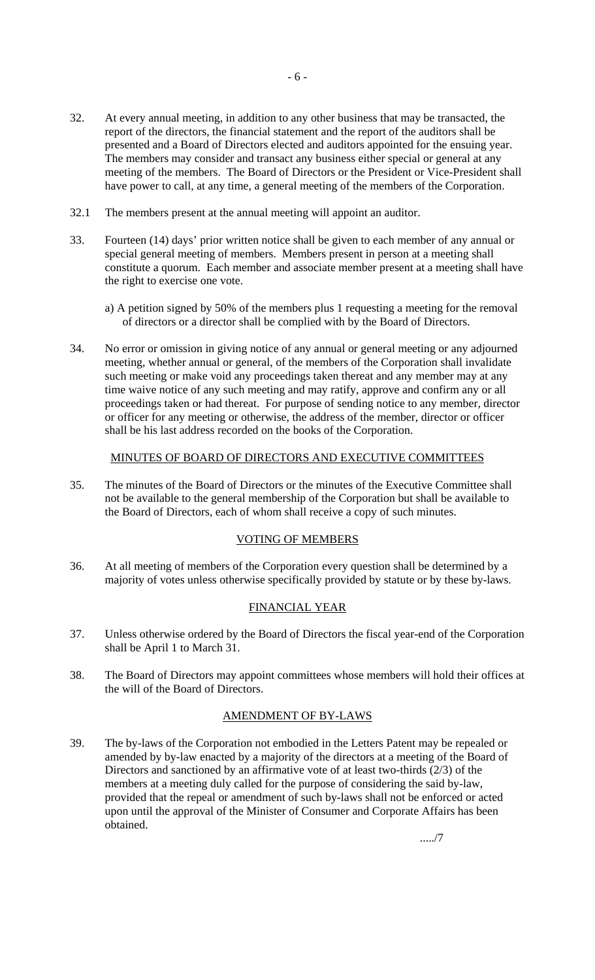- 32. At every annual meeting, in addition to any other business that may be transacted, the report of the directors, the financial statement and the report of the auditors shall be presented and a Board of Directors elected and auditors appointed for the ensuing year. The members may consider and transact any business either special or general at any meeting of the members. The Board of Directors or the President or Vice-President shall have power to call, at any time, a general meeting of the members of the Corporation.
- 32.1 The members present at the annual meeting will appoint an auditor.
- 33. Fourteen (14) days' prior written notice shall be given to each member of any annual or special general meeting of members. Members present in person at a meeting shall constitute a quorum. Each member and associate member present at a meeting shall have the right to exercise one vote.
	- a) A petition signed by 50% of the members plus 1 requesting a meeting for the removal of directors or a director shall be complied with by the Board of Directors.
- 34. No error or omission in giving notice of any annual or general meeting or any adjourned meeting, whether annual or general, of the members of the Corporation shall invalidate such meeting or make void any proceedings taken thereat and any member may at any time waive notice of any such meeting and may ratify, approve and confirm any or all proceedings taken or had thereat. For purpose of sending notice to any member, director or officer for any meeting or otherwise, the address of the member, director or officer shall be his last address recorded on the books of the Corporation.

## MINUTES OF BOARD OF DIRECTORS AND EXECUTIVE COMMITTEES

35. The minutes of the Board of Directors or the minutes of the Executive Committee shall not be available to the general membership of the Corporation but shall be available to the Board of Directors, each of whom shall receive a copy of such minutes.

#### VOTING OF MEMBERS

36. At all meeting of members of the Corporation every question shall be determined by a majority of votes unless otherwise specifically provided by statute or by these by-laws.

## FINANCIAL YEAR

- 37. Unless otherwise ordered by the Board of Directors the fiscal year-end of the Corporation shall be April 1 to March 31.
- 38. The Board of Directors may appoint committees whose members will hold their offices at the will of the Board of Directors.

#### AMENDMENT OF BY-LAWS

39. The by-laws of the Corporation not embodied in the Letters Patent may be repealed or amended by by-law enacted by a majority of the directors at a meeting of the Board of Directors and sanctioned by an affirmative vote of at least two-thirds (2/3) of the members at a meeting duly called for the purpose of considering the said by-law, provided that the repeal or amendment of such by-laws shall not be enforced or acted upon until the approval of the Minister of Consumer and Corporate Affairs has been obtained.